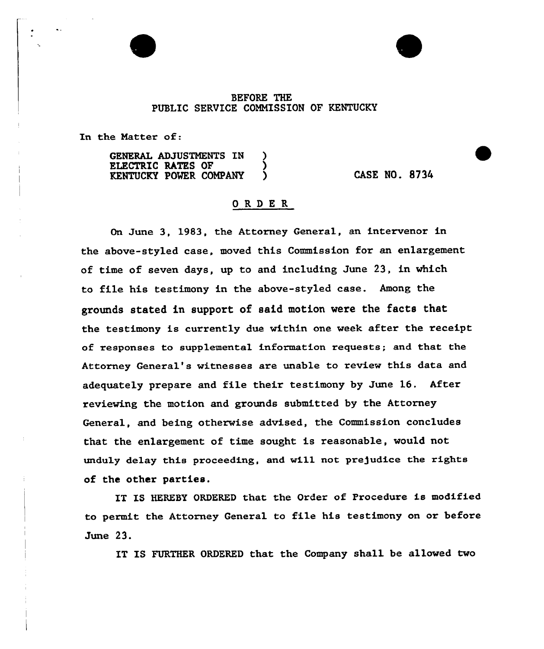## BEFORE THE PUBLIC SERVICE COMMISSION OF KENTUCKY

In the Natter of:

GENERAL ADJUSTMENTS IN ELECTRIC RATES OF KENTUCKY POMER COMPANY ) CASE NO. 8734

## ORDE <sup>R</sup>

On June 3, 1983, the Attorney General, an intervenor in the above-styled case, moved this Commission for an enlargement of time of seven days, up to and including June 23, in which to file his testimony in the above-styled case. Among the grounds stated in support of said motion were the facts that the testimony is currently due within one week after the receipt of responses to supplemental information requests; and that the Attorney General's witnesses are unable to review this data and adequately prepare and file their testimony by June 16. After reviewing the motion and grounds submitted by the Attorney General, and being otherwise advised, the Commission concludes that the enlargement of time sought is reasonable, would not unduly delay this proceeding, and will not prejudice the rights of the other parties.

IT IS HERESY ORDERED that the Order of Procedure is modified to permit the Attorney General to file his testimony on or before June 23.

IT IS FURTHER ORDERED that the Company shall be allowed two